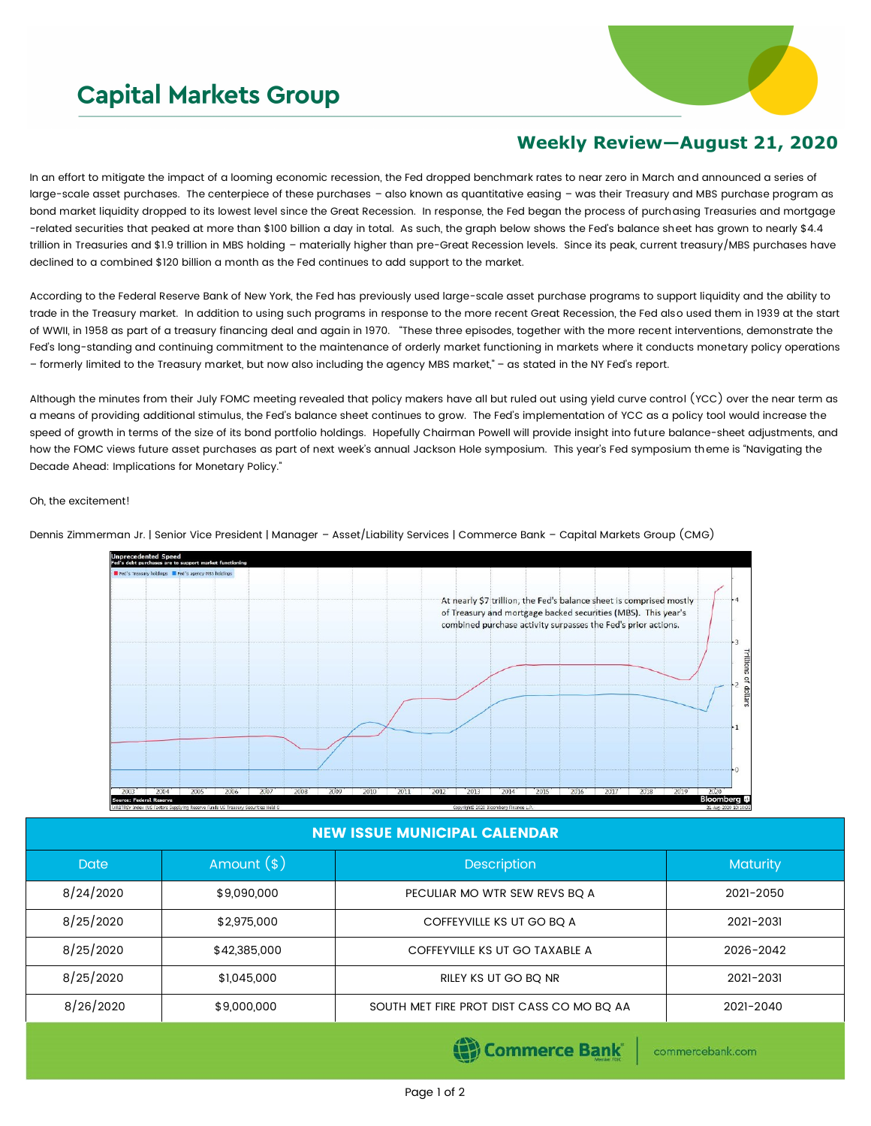# **Capital Markets Group**



## **Weekly Review—August 21, 2020**

In an effort to mitigate the impact of a looming economic recession, the Fed dropped benchmark rates to near zero in March and announced a series of large-scale asset purchases. The centerpiece of these purchases – also known as quantitative easing – was their Treasury and MBS purchase program as bond market liquidity dropped to its lowest level since the Great Recession. In response, the Fed began the process of purchasing Treasuries and mortgage -related securities that peaked at more than \$100 billion a day in total. As such, the graph below shows the Fed's balance sheet has grown to nearly \$4.4 trillion in Treasuries and \$1.9 trillion in MBS holding – materially higher than pre-Great Recession levels. Since its peak, current treasury/MBS purchases have declined to a combined \$120 billion a month as the Fed continues to add support to the market.

According to the Federal Reserve Bank of New York, the Fed has previously used large-scale asset purchase programs to support liquidity and the ability to trade in the Treasury market. In addition to using such programs in response to the more recent Great Recession, the Fed also used them in 1939 at the start of WWII, in 1958 as part of a treasury financing deal and again in 1970. "These three episodes, together with the more recent interventions, demonstrate the Fed's long-standing and continuing commitment to the maintenance of orderly market functioning in markets where it conducts monetary policy operations – formerly limited to the Treasury market, but now also including the agency MBS market," – as stated in the NY Fed's report.

Although the minutes from their July FOMC meeting revealed that policy makers have all but ruled out using yield curve control (YCC) over the near term as a means of providing additional stimulus, the Fed's balance sheet continues to grow. The Fed's implementation of YCC as a policy tool would increase the speed of growth in terms of the size of its bond portfolio holdings. Hopefully Chairman Powell will provide insight into future balance-sheet adjustments, and how the FOMC views future asset purchases as part of next week's annual Jackson Hole symposium. This year's Fed symposium theme is "Navigating the Decade Ahead: Implications for Monetary Policy."

#### Oh, the excitement!



Dennis Zimmerman Jr. | Senior Vice President | Manager – Asset/Liability Services | Commerce Bank – Capital Markets Group (CMG)

### NEW ISSUE MUNICIPAL CALENDAR

| Date      | Amount $(*)$ | <b>Description</b>                        | Maturity  |  |
|-----------|--------------|-------------------------------------------|-----------|--|
| 8/24/2020 | \$9,090,000  | PECULIAR MO WTR SEW REVS BO A             | 2021-2050 |  |
| 8/25/2020 | \$2,975,000  | COFFEYVILLE KS UT GO BQ A                 | 2021-2031 |  |
| 8/25/2020 | \$42,385,000 | COFFEYVILLE KS UT GO TAXABLE A            | 2026-2042 |  |
| 8/25/2020 | \$1,045,000  | RILEY KS UT GO BQ NR                      | 2021-2031 |  |
| 8/26/2020 | \$9,000,000  | SOUTH MET FIRE PROT DIST CASS CO MO BQ AA | 2021-2040 |  |

**Commerce Bank** 

commercebank.com